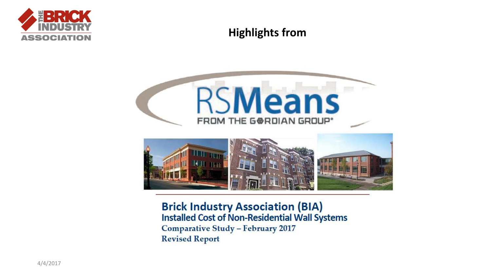

#### **Highlights from**





**Installed Cost of Non-Residential Wall Systems Comparative Study - February 2017 Revised Report**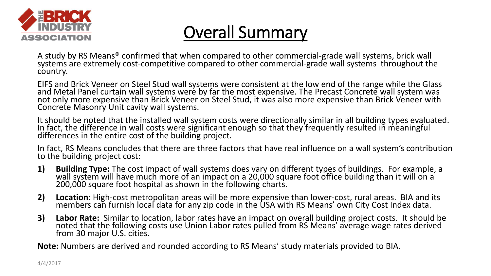

### Overall Summary

A study by RS Means® confirmed that when compared to other commercial-grade wall systems, brick wall systems are extremely cost-competitive compared to other commercial-grade wall systems throughout the country.

EIFS and Brick Veneer on Steel Stud wall systems were consistent at the low end of the range while the Glass and Metal Panel curtain wall systems were by far the most expensive. The Precast Concrete wall system was not only more expensive than Brick Veneer on Steel Stud, it was also more expensive than Brick Veneer with Concrete Masonry Unit cavity wall systems.

It should be noted that the installed wall system costs were directionally similar in all building types evaluated. In fact, the difference in wall costs were significant enough so that they frequently resulted in meaningful differences in the entire cost of the building project.

In fact, RS Means concludes that there are three factors that have real influence on a wall system's contribution to the building project cost:

- **1) Building Type:** The cost impact of wall systems does vary on different types of buildings. For example, a wall system will have much more of an impact on a 20,000 square foot office building than it will on a 200,000 square foot hospital as shown in the following charts.
- **2) Location:** High-cost metropolitan areas will be more expensive than lower-cost, rural areas. BIA and its members can furnish local data for any zip code in the USA with RS Means' own City Cost Index data.
- **3) Labor Rate:** Similar to location, labor rates have an impact on overall building project costs. It should be noted that the following costs use Union Labor rates pulled from RS Means' average wage rates derived from 30 major U.S. cities.

**Note:** Numbers are derived and rounded according to RS Means' study materials provided to BIA.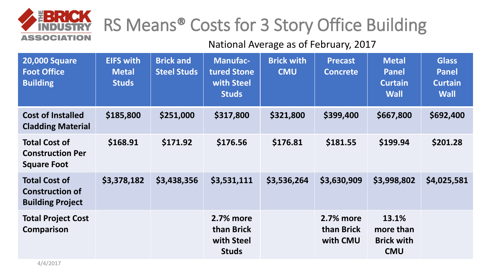

# RS Means® Costs for 3 Story Office Building

| <b>20,000 Square</b><br><b>Foot Office</b><br><b>Building</b>             | <b>EIFS with</b><br><b>Metal</b><br><b>Studs</b> | <b>Brick and</b><br><b>Steel Studs</b> | <b>Manufac-</b><br>tured Stone<br>with Steel<br><b>Studs</b> | <b>Brick with</b><br><b>CMU</b> | <b>Precast</b><br><b>Concrete</b>   | <b>Metal</b><br><b>Panel</b><br><b>Curtain</b><br><b>Wall</b> | <b>Glass</b><br><b>Panel</b><br><b>Curtain</b><br><b>Wall</b> |
|---------------------------------------------------------------------------|--------------------------------------------------|----------------------------------------|--------------------------------------------------------------|---------------------------------|-------------------------------------|---------------------------------------------------------------|---------------------------------------------------------------|
| <b>Cost of Installed</b><br><b>Cladding Material</b>                      | \$185,800                                        | \$251,000                              | \$317,800                                                    | \$321,800                       | \$399,400                           | \$667,800                                                     | \$692,400                                                     |
| <b>Total Cost of</b><br><b>Construction Per</b><br><b>Square Foot</b>     | \$168.91                                         | \$171.92                               | \$176.56                                                     | \$176.81                        | \$181.55                            | \$199.94                                                      | \$201.28                                                      |
| <b>Total Cost of</b><br><b>Construction of</b><br><b>Building Project</b> | \$3,378,182                                      | \$3,438,356                            | \$3,531,111                                                  | \$3,536,264                     | \$3,630,909                         | \$3,998,802                                                   | \$4,025,581                                                   |
| <b>Total Project Cost</b><br><b>Comparison</b>                            |                                                  |                                        | 2.7% more<br>than Brick<br>with Steel<br><b>Studs</b>        |                                 | 2.7% more<br>than Brick<br>with CMU | 13.1%<br>more than<br><b>Brick with</b><br><b>CMU</b>         |                                                               |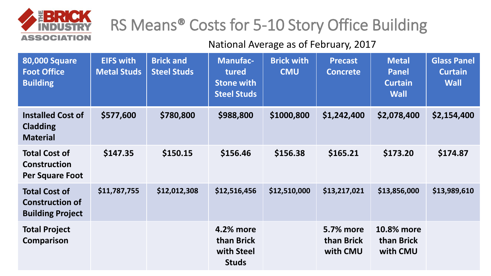

## RS Means® Costs for 5-10 Story Office Building

| <b>80,000 Square</b><br><b>Foot Office</b><br><b>Building</b>             | <b>EIFS with</b><br><b>Metal Studs</b> | <b>Brick and</b><br><b>Steel Studs</b> | <b>Manufac-</b><br>tured<br><b>Stone with</b><br><b>Steel Studs</b> | <b>Brick with</b><br><b>CMU</b> | <b>Precast</b><br><b>Concrete</b>          | <b>Metal</b><br><b>Panel</b><br><b>Curtain</b><br><b>Wall</b> | <b>Glass Panel</b><br><b>Curtain</b><br><b>Wall</b> |
|---------------------------------------------------------------------------|----------------------------------------|----------------------------------------|---------------------------------------------------------------------|---------------------------------|--------------------------------------------|---------------------------------------------------------------|-----------------------------------------------------|
| <b>Installed Cost of</b><br><b>Cladding</b><br><b>Material</b>            | \$577,600                              | \$780,800                              | \$988,800                                                           | \$1000,800                      | \$1,242,400                                | \$2,078,400                                                   | \$2,154,400                                         |
| <b>Total Cost of</b><br><b>Construction</b><br><b>Per Square Foot</b>     | \$147.35                               | \$150.15                               | \$156.46                                                            | \$156.38                        | \$165.21                                   | \$173.20                                                      | \$174.87                                            |
| <b>Total Cost of</b><br><b>Construction of</b><br><b>Building Project</b> | \$11,787,755                           | \$12,012,308                           | \$12,516,456                                                        | \$12,510,000                    | \$13,217,021                               | \$13,856,000                                                  | \$13,989,610                                        |
| <b>Total Project</b><br>Comparison                                        |                                        |                                        | 4.2% more<br>than Brick<br>with Steel<br><b>Studs</b>               |                                 | <b>5.7% more</b><br>than Brick<br>with CMU | 10.8% more<br>than Brick<br>with CMU                          |                                                     |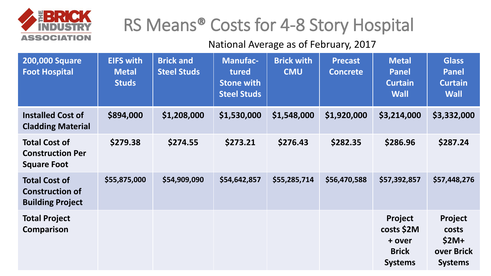

## RS Means® Costs for 4-8 Story Hospital

| <b>200,000 Square</b><br><b>Foot Hospital</b>                             | <b>EIFS with</b><br><b>Metal</b><br><b>Studs</b> | <b>Brick and</b><br><b>Steel Studs</b> | <b>Manufac-</b><br>tured<br><b>Stone with</b><br><b>Steel Studs</b> | <b>Brick with</b><br><b>CMU</b> | <b>Precast</b><br><b>Concrete</b> | <b>Metal</b><br><b>Panel</b><br><b>Curtain</b><br><b>Wall</b>            | <b>Glass</b><br><b>Panel</b><br><b>Curtain</b><br><b>Wall</b> |
|---------------------------------------------------------------------------|--------------------------------------------------|----------------------------------------|---------------------------------------------------------------------|---------------------------------|-----------------------------------|--------------------------------------------------------------------------|---------------------------------------------------------------|
| <b>Installed Cost of</b><br><b>Cladding Material</b>                      | \$894,000                                        | \$1,208,000                            | \$1,530,000                                                         | \$1,548,000                     | \$1,920,000                       | \$3,214,000                                                              | \$3,332,000                                                   |
| <b>Total Cost of</b><br><b>Construction Per</b><br><b>Square Foot</b>     | \$279.38                                         | \$274.55                               | \$273.21                                                            | \$276.43                        | \$282.35                          | \$286.96                                                                 | \$287.24                                                      |
| <b>Total Cost of</b><br><b>Construction of</b><br><b>Building Project</b> | \$55,875,000                                     | \$54,909,090                           | \$54,642,857                                                        | \$55,285,714                    | \$56,470,588                      | \$57,392,857                                                             | \$57,448,276                                                  |
| <b>Total Project</b><br><b>Comparison</b>                                 |                                                  |                                        |                                                                     |                                 |                                   | <b>Project</b><br>costs \$2M<br>+ over<br><b>Brick</b><br><b>Systems</b> | Project<br>costs<br>$$2M+$<br>over Brick<br><b>Systems</b>    |